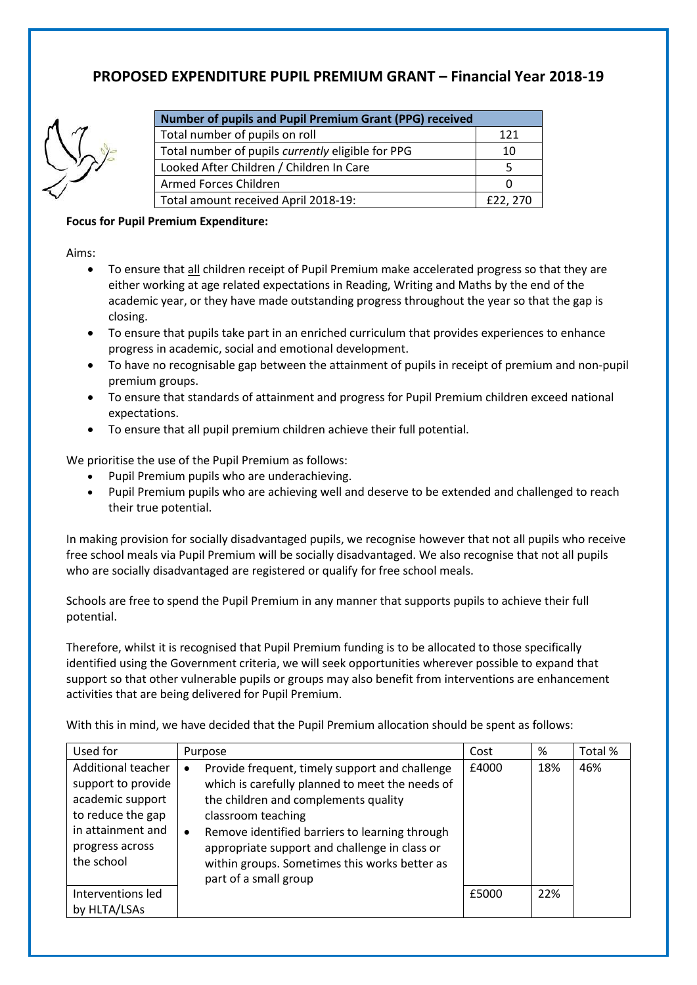## **PROPOSED EXPENDITURE PUPIL PREMIUM GRANT – Financial Year 2018-19**



| Number of pupils and Pupil Premium Grant (PPG) received |          |  |
|---------------------------------------------------------|----------|--|
| Total number of pupils on roll                          | 121      |  |
| Total number of pupils currently eligible for PPG       | 10       |  |
| Looked After Children / Children In Care                | 5        |  |
| Armed Forces Children                                   |          |  |
| Total amount received April 2018-19:                    | £22, 270 |  |

## **Focus for Pupil Premium Expenditure:**

Aims:

- To ensure that all children receipt of Pupil Premium make accelerated progress so that they are either working at age related expectations in Reading, Writing and Maths by the end of the academic year, or they have made outstanding progress throughout the year so that the gap is closing.
- To ensure that pupils take part in an enriched curriculum that provides experiences to enhance progress in academic, social and emotional development.
- To have no recognisable gap between the attainment of pupils in receipt of premium and non-pupil premium groups.
- To ensure that standards of attainment and progress for Pupil Premium children exceed national expectations.
- To ensure that all pupil premium children achieve their full potential.

We prioritise the use of the Pupil Premium as follows:

- Pupil Premium pupils who are underachieving.
- Pupil Premium pupils who are achieving well and deserve to be extended and challenged to reach their true potential.

In making provision for socially disadvantaged pupils, we recognise however that not all pupils who receive free school meals via Pupil Premium will be socially disadvantaged. We also recognise that not all pupils who are socially disadvantaged are registered or qualify for free school meals.

Schools are free to spend the Pupil Premium in any manner that supports pupils to achieve their full potential.

Therefore, whilst it is recognised that Pupil Premium funding is to be allocated to those specifically identified using the Government criteria, we will seek opportunities wherever possible to expand that support so that other vulnerable pupils or groups may also benefit from interventions are enhancement activities that are being delivered for Pupil Premium.

With this in mind, we have decided that the Pupil Premium allocation should be spent as follows:

| Used for                                                                                                                                | Purpose                                                                                                                                                                                                                                                                                                                                                                | Cost  | %   | Total % |
|-----------------------------------------------------------------------------------------------------------------------------------------|------------------------------------------------------------------------------------------------------------------------------------------------------------------------------------------------------------------------------------------------------------------------------------------------------------------------------------------------------------------------|-------|-----|---------|
| Additional teacher<br>support to provide<br>academic support<br>to reduce the gap<br>in attainment and<br>progress across<br>the school | Provide frequent, timely support and challenge<br>$\bullet$<br>which is carefully planned to meet the needs of<br>the children and complements quality<br>classroom teaching<br>Remove identified barriers to learning through<br>$\bullet$<br>appropriate support and challenge in class or<br>within groups. Sometimes this works better as<br>part of a small group | £4000 | 18% | 46%     |
| Interventions led                                                                                                                       |                                                                                                                                                                                                                                                                                                                                                                        | £5000 | 22% |         |
| by HLTA/LSAs                                                                                                                            |                                                                                                                                                                                                                                                                                                                                                                        |       |     |         |